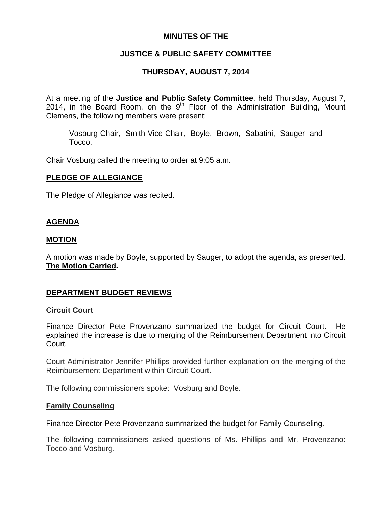## **MINUTES OF THE**

# **JUSTICE & PUBLIC SAFETY COMMITTEE**

# **THURSDAY, AUGUST 7, 2014**

At a meeting of the **Justice and Public Safety Committee**, held Thursday, August 7, 2014, in the Board Room, on the  $9<sup>th</sup>$  Floor of the Administration Building, Mount Clemens, the following members were present:

Vosburg-Chair, Smith-Vice-Chair, Boyle, Brown, Sabatini, Sauger and Tocco.

Chair Vosburg called the meeting to order at 9:05 a.m.

### **PLEDGE OF ALLEGIANCE**

The Pledge of Allegiance was recited.

## **AGENDA**

### **MOTION**

A motion was made by Boyle, supported by Sauger, to adopt the agenda, as presented. **The Motion Carried.** 

## **DEPARTMENT BUDGET REVIEWS**

### **Circuit Court**

Finance Director Pete Provenzano summarized the budget for Circuit Court. He explained the increase is due to merging of the Reimbursement Department into Circuit Court.

Court Administrator Jennifer Phillips provided further explanation on the merging of the Reimbursement Department within Circuit Court.

The following commissioners spoke: Vosburg and Boyle.

### **Family Counseling**

Finance Director Pete Provenzano summarized the budget for Family Counseling.

The following commissioners asked questions of Ms. Phillips and Mr. Provenzano: Tocco and Vosburg.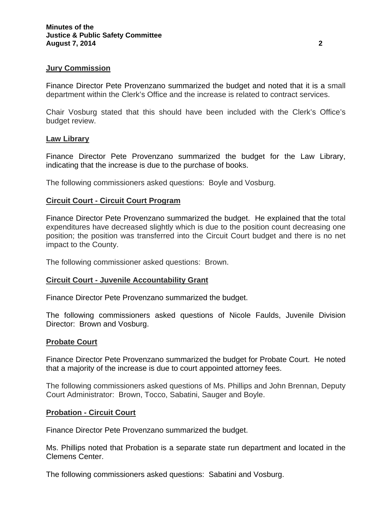### **Jury Commission**

Finance Director Pete Provenzano summarized the budget and noted that it is a small department within the Clerk's Office and the increase is related to contract services.

Chair Vosburg stated that this should have been included with the Clerk's Office's budget review.

#### **Law Library**

Finance Director Pete Provenzano summarized the budget for the Law Library, indicating that the increase is due to the purchase of books.

The following commissioners asked questions: Boyle and Vosburg.

#### **Circuit Court - Circuit Court Program**

Finance Director Pete Provenzano summarized the budget. He explained that the total expenditures have decreased slightly which is due to the position count decreasing one position; the position was transferred into the Circuit Court budget and there is no net impact to the County.

The following commissioner asked questions: Brown.

#### **Circuit Court - Juvenile Accountability Grant**

Finance Director Pete Provenzano summarized the budget.

The following commissioners asked questions of Nicole Faulds, Juvenile Division Director: Brown and Vosburg.

#### **Probate Court**

Finance Director Pete Provenzano summarized the budget for Probate Court. He noted that a majority of the increase is due to court appointed attorney fees.

The following commissioners asked questions of Ms. Phillips and John Brennan, Deputy Court Administrator: Brown, Tocco, Sabatini, Sauger and Boyle.

#### **Probation - Circuit Court**

Finance Director Pete Provenzano summarized the budget.

Ms. Phillips noted that Probation is a separate state run department and located in the Clemens Center.

The following commissioners asked questions: Sabatini and Vosburg.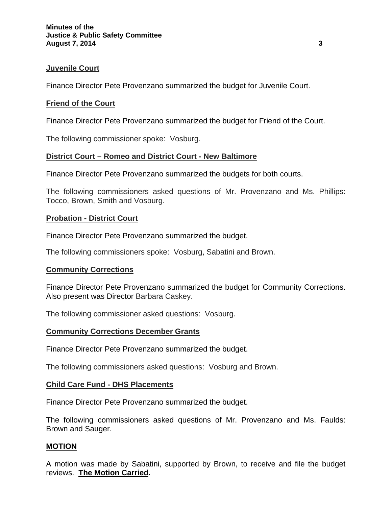### **Juvenile Court**

Finance Director Pete Provenzano summarized the budget for Juvenile Court.

### **Friend of the Court**

Finance Director Pete Provenzano summarized the budget for Friend of the Court.

The following commissioner spoke: Vosburg.

## **District Court – Romeo and District Court - New Baltimore**

Finance Director Pete Provenzano summarized the budgets for both courts.

The following commissioners asked questions of Mr. Provenzano and Ms. Phillips: Tocco, Brown, Smith and Vosburg.

### **Probation - District Court**

Finance Director Pete Provenzano summarized the budget.

The following commissioners spoke: Vosburg, Sabatini and Brown.

### **Community Corrections**

Finance Director Pete Provenzano summarized the budget for Community Corrections. Also present was Director Barbara Caskey.

The following commissioner asked questions: Vosburg.

### **Community Corrections December Grants**

Finance Director Pete Provenzano summarized the budget.

The following commissioners asked questions: Vosburg and Brown.

### **Child Care Fund - DHS Placements**

Finance Director Pete Provenzano summarized the budget.

The following commissioners asked questions of Mr. Provenzano and Ms. Faulds: Brown and Sauger.

## **MOTION**

A motion was made by Sabatini, supported by Brown, to receive and file the budget reviews. **The Motion Carried.**